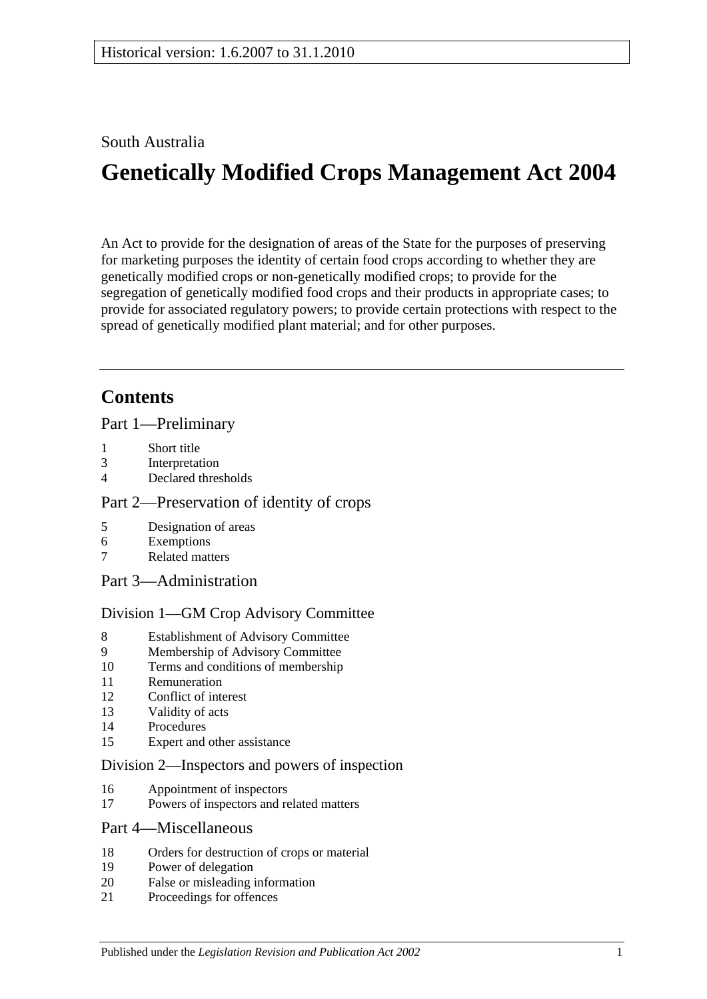# South Australia

# **Genetically Modified Crops Management Act 2004**

An Act to provide for the designation of areas of the State for the purposes of preserving for marketing purposes the identity of certain food crops according to whether they are genetically modified crops or non-genetically modified crops; to provide for the segregation of genetically modified food crops and their products in appropriate cases; to provide for associated regulatory powers; to provide certain protections with respect to the spread of genetically modified plant material; and for other purposes.

# **Contents**

[Part 1—Preliminary](#page-1-0)

- 1 [Short title](#page-1-1)
- 3 [Interpretation](#page-1-2)
- 4 [Declared thresholds](#page-3-0)

#### [Part 2—Preservation of identity of crops](#page-3-1)

- 5 [Designation of areas](#page-3-2)
- 6 [Exemptions](#page-5-0)
- 7 [Related matters](#page-6-0)
- [Part 3—Administration](#page-6-1)

#### [Division 1—GM Crop Advisory Committee](#page-6-2)

- 8 [Establishment of Advisory Committee](#page-6-3)
- 9 [Membership of Advisory Committee](#page-6-4)
- 10 [Terms and conditions of membership](#page-7-0)
- 11 [Remuneration](#page-7-1)
- 12 [Conflict of interest](#page-7-2)
- 13 [Validity of acts](#page-8-0)
- 14 [Procedures](#page-8-1)
- 15 [Expert and other assistance](#page-9-0)

#### [Division 2—Inspectors and powers of inspection](#page-9-1)

- 16 [Appointment of inspectors](#page-9-2)
- 17 [Powers of inspectors and related matters](#page-9-3)

#### [Part 4—Miscellaneous](#page-10-0)

- 18 [Orders for destruction of crops or material](#page-10-1)
- 19 [Power of delegation](#page-10-2)
- 20 [False or misleading information](#page-11-0)
- 21 [Proceedings for offences](#page-11-1)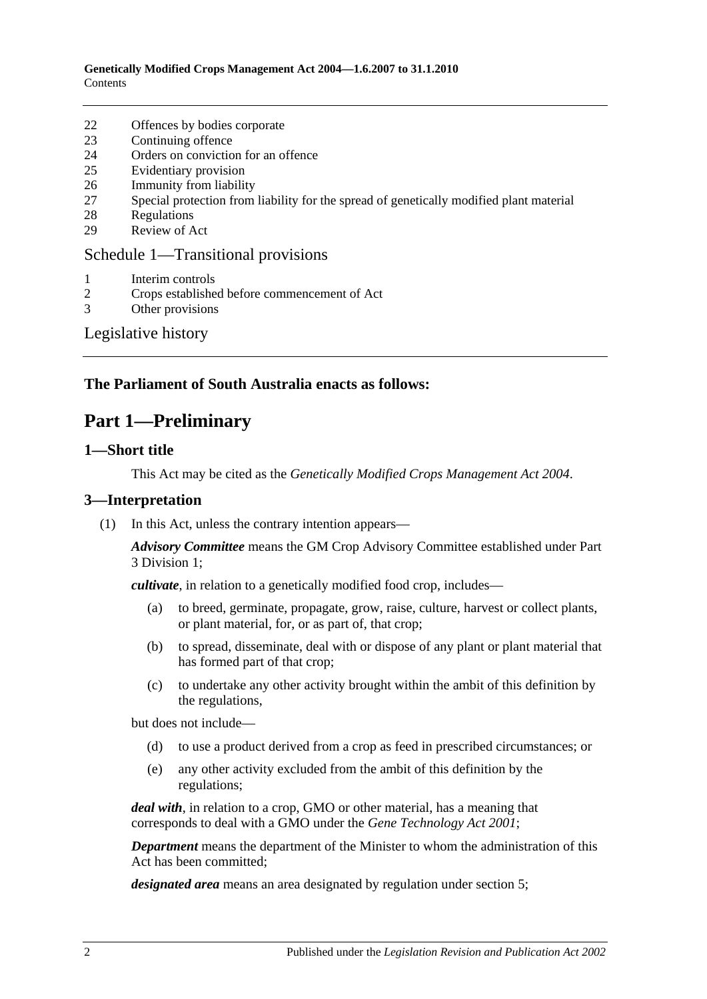- 22 [Offences by bodies corporate](#page-11-2)
- 23 [Continuing offence](#page-11-3)
- 24 [Orders on conviction for an offence](#page-12-0)
- 25 [Evidentiary provision](#page-13-0)
- 26 [Immunity from liability](#page-13-1)
- 27 [Special protection from liability for the spread of genetically modified plant material](#page-13-2)
- 28 [Regulations](#page-14-0)
- 29 [Review of Act](#page-15-0)

#### [Schedule 1—Transitional provisions](#page-15-1)

- 1 [Interim controls](#page-15-2)
- 2 [Crops established before commencement of Act](#page-15-3)
- 3 [Other provisions](#page-15-4)

# [Legislative history](#page-16-0)

# <span id="page-1-0"></span>**The Parliament of South Australia enacts as follows:**

# **Part 1—Preliminary**

#### <span id="page-1-1"></span>**1—Short title**

This Act may be cited as the *Genetically Modified Crops Management Act 2004*.

#### <span id="page-1-2"></span>**3—Interpretation**

(1) In this Act, unless the contrary intention appears—

*Advisory Committee* means the GM Crop Advisory Committee established under [Part](#page-6-2)  [3 Division 1;](#page-6-2)

*cultivate*, in relation to a genetically modified food crop, includes—

- (a) to breed, germinate, propagate, grow, raise, culture, harvest or collect plants, or plant material, for, or as part of, that crop;
- (b) to spread, disseminate, deal with or dispose of any plant or plant material that has formed part of that crop;
- (c) to undertake any other activity brought within the ambit of this definition by the regulations,

but does not include—

- (d) to use a product derived from a crop as feed in prescribed circumstances; or
- (e) any other activity excluded from the ambit of this definition by the regulations;

*deal with*, in relation to a crop, GMO or other material, has a meaning that corresponds to deal with a GMO under the *[Gene Technology Act](http://www.legislation.sa.gov.au/index.aspx?action=legref&type=act&legtitle=Gene%20Technology%20Act%202001) 2001*;

*Department* means the department of the Minister to whom the administration of this Act has been committed;

*designated area* means an area designated by regulation under [section](#page-3-2) 5;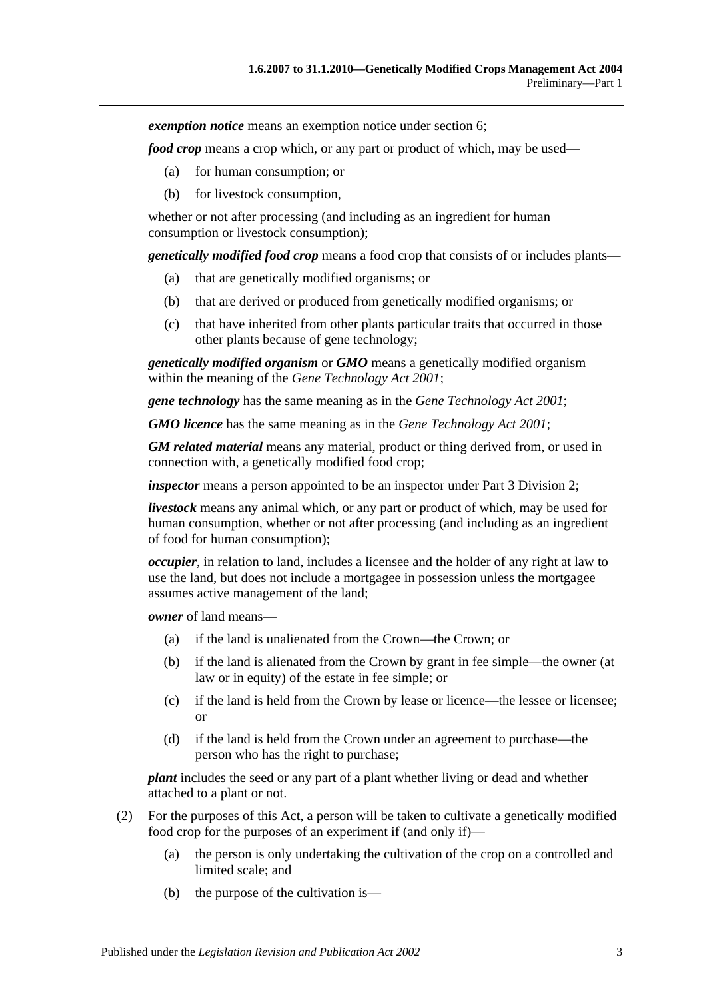*exemption notice* means an exemption notice under [section](#page-5-0) 6;

*food crop* means a crop which, or any part or product of which, may be used—

- (a) for human consumption; or
- (b) for livestock consumption,

whether or not after processing (and including as an ingredient for human consumption or livestock consumption);

*genetically modified food crop* means a food crop that consists of or includes plants—

- (a) that are genetically modified organisms; or
- (b) that are derived or produced from genetically modified organisms; or
- (c) that have inherited from other plants particular traits that occurred in those other plants because of gene technology;

*genetically modified organism* or *GMO* means a genetically modified organism within the meaning of the *[Gene Technology Act](http://www.legislation.sa.gov.au/index.aspx?action=legref&type=act&legtitle=Gene%20Technology%20Act%202001) 2001*;

*gene technology* has the same meaning as in the *[Gene Technology Act](http://www.legislation.sa.gov.au/index.aspx?action=legref&type=act&legtitle=Gene%20Technology%20Act%202001) 2001*;

*GMO licence* has the same meaning as in the *[Gene Technology Act](http://www.legislation.sa.gov.au/index.aspx?action=legref&type=act&legtitle=Gene%20Technology%20Act%202001) 2001*;

*GM related material* means any material, product or thing derived from, or used in connection with, a genetically modified food crop;

*inspector* means a person appointed to be an inspector under [Part 3 Division 2;](#page-9-1)

*livestock* means any animal which, or any part or product of which, may be used for human consumption, whether or not after processing (and including as an ingredient of food for human consumption);

*occupier*, in relation to land, includes a licensee and the holder of any right at law to use the land, but does not include a mortgagee in possession unless the mortgagee assumes active management of the land;

*owner* of land means—

- (a) if the land is unalienated from the Crown—the Crown; or
- (b) if the land is alienated from the Crown by grant in fee simple—the owner (at law or in equity) of the estate in fee simple; or
- (c) if the land is held from the Crown by lease or licence—the lessee or licensee; or
- (d) if the land is held from the Crown under an agreement to purchase—the person who has the right to purchase;

*plant* includes the seed or any part of a plant whether living or dead and whether attached to a plant or not.

- (2) For the purposes of this Act, a person will be taken to cultivate a genetically modified food crop for the purposes of an experiment if (and only if)—
	- (a) the person is only undertaking the cultivation of the crop on a controlled and limited scale; and
	- (b) the purpose of the cultivation is—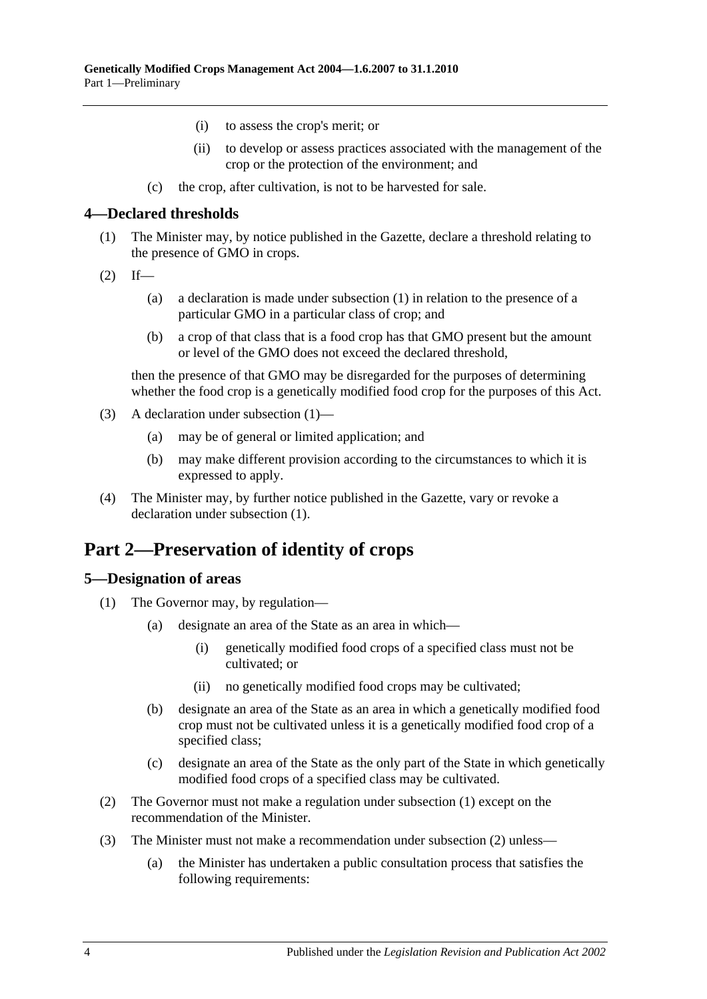- (i) to assess the crop's merit; or
- (ii) to develop or assess practices associated with the management of the crop or the protection of the environment; and
- (c) the crop, after cultivation, is not to be harvested for sale.

#### <span id="page-3-3"></span><span id="page-3-0"></span>**4—Declared thresholds**

- (1) The Minister may, by notice published in the Gazette, declare a threshold relating to the presence of GMO in crops.
- $(2)$  If—
	- (a) a declaration is made under subsection (1) in relation to the presence of a particular GMO in a particular class of crop; and
	- (b) a crop of that class that is a food crop has that GMO present but the amount or level of the GMO does not exceed the declared threshold,

then the presence of that GMO may be disregarded for the purposes of determining whether the food crop is a genetically modified food crop for the purposes of this Act.

- (3) A declaration under [subsection](#page-3-3) (1)—
	- (a) may be of general or limited application; and
	- (b) may make different provision according to the circumstances to which it is expressed to apply.
- (4) The Minister may, by further notice published in the Gazette, vary or revoke a declaration under [subsection](#page-3-3) (1).

# <span id="page-3-1"></span>**Part 2—Preservation of identity of crops**

# <span id="page-3-4"></span><span id="page-3-2"></span>**5—Designation of areas**

- <span id="page-3-6"></span>(1) The Governor may, by regulation—
	- (a) designate an area of the State as an area in which—
		- (i) genetically modified food crops of a specified class must not be cultivated; or
		- (ii) no genetically modified food crops may be cultivated;
	- (b) designate an area of the State as an area in which a genetically modified food crop must not be cultivated unless it is a genetically modified food crop of a specified class;
	- (c) designate an area of the State as the only part of the State in which genetically modified food crops of a specified class may be cultivated.
- <span id="page-3-7"></span><span id="page-3-5"></span>(2) The Governor must not make a regulation under [subsection](#page-3-4) (1) except on the recommendation of the Minister.
- <span id="page-3-8"></span>(3) The Minister must not make a recommendation under [subsection](#page-3-5) (2) unless—
	- (a) the Minister has undertaken a public consultation process that satisfies the following requirements: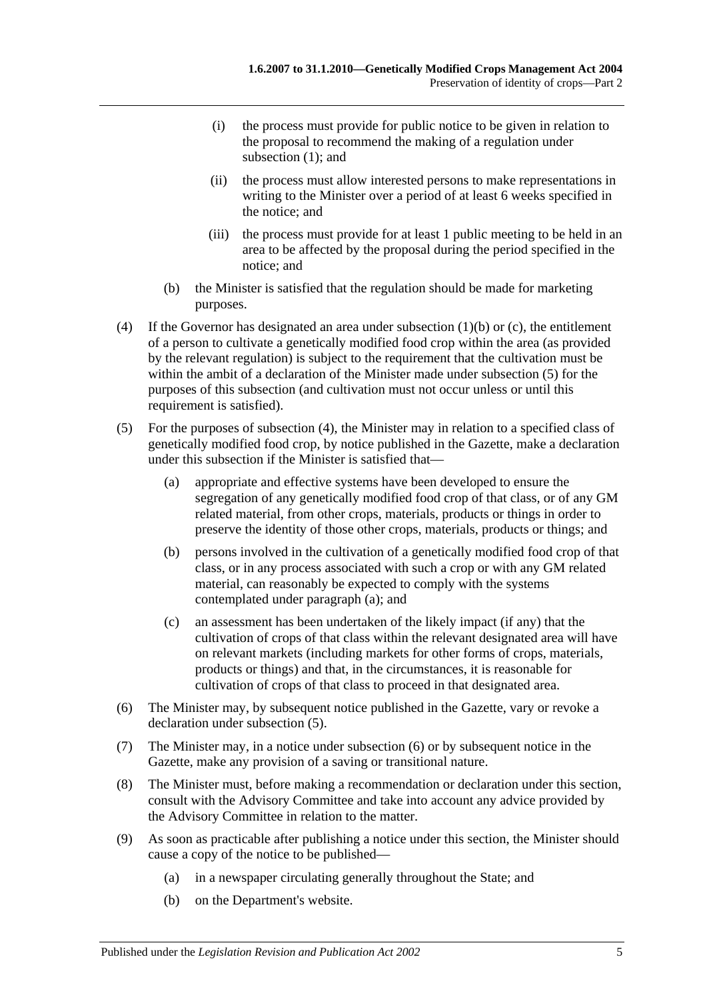- (i) the process must provide for public notice to be given in relation to the proposal to recommend the making of a regulation under [subsection](#page-3-4) (1); and
- (ii) the process must allow interested persons to make representations in writing to the Minister over a period of at least 6 weeks specified in the notice; and
- (iii) the process must provide for at least 1 public meeting to be held in an area to be affected by the proposal during the period specified in the notice; and
- (b) the Minister is satisfied that the regulation should be made for marketing purposes.
- <span id="page-4-1"></span>(4) If the Governor has designated an area under [subsection](#page-3-6) (1)(b) or [\(c\),](#page-3-7) the entitlement of a person to cultivate a genetically modified food crop within the area (as provided by the relevant regulation) is subject to the requirement that the cultivation must be within the ambit of a declaration of the Minister made under [subsection](#page-4-0) (5) for the purposes of this subsection (and cultivation must not occur unless or until this requirement is satisfied).
- <span id="page-4-2"></span><span id="page-4-0"></span>(5) For the purposes of [subsection](#page-4-1) (4), the Minister may in relation to a specified class of genetically modified food crop, by notice published in the Gazette, make a declaration under this subsection if the Minister is satisfied that—
	- (a) appropriate and effective systems have been developed to ensure the segregation of any genetically modified food crop of that class, or of any GM related material, from other crops, materials, products or things in order to preserve the identity of those other crops, materials, products or things; and
	- (b) persons involved in the cultivation of a genetically modified food crop of that class, or in any process associated with such a crop or with any GM related material, can reasonably be expected to comply with the systems contemplated under [paragraph](#page-4-2) (a); and
	- (c) an assessment has been undertaken of the likely impact (if any) that the cultivation of crops of that class within the relevant designated area will have on relevant markets (including markets for other forms of crops, materials, products or things) and that, in the circumstances, it is reasonable for cultivation of crops of that class to proceed in that designated area.
- <span id="page-4-3"></span>(6) The Minister may, by subsequent notice published in the Gazette, vary or revoke a declaration under [subsection](#page-4-0) (5).
- (7) The Minister may, in a notice under [subsection](#page-4-3) (6) or by subsequent notice in the Gazette, make any provision of a saving or transitional nature.
- (8) The Minister must, before making a recommendation or declaration under this section, consult with the Advisory Committee and take into account any advice provided by the Advisory Committee in relation to the matter.
- (9) As soon as practicable after publishing a notice under this section, the Minister should cause a copy of the notice to be published—
	- (a) in a newspaper circulating generally throughout the State; and
	- (b) on the Department's website.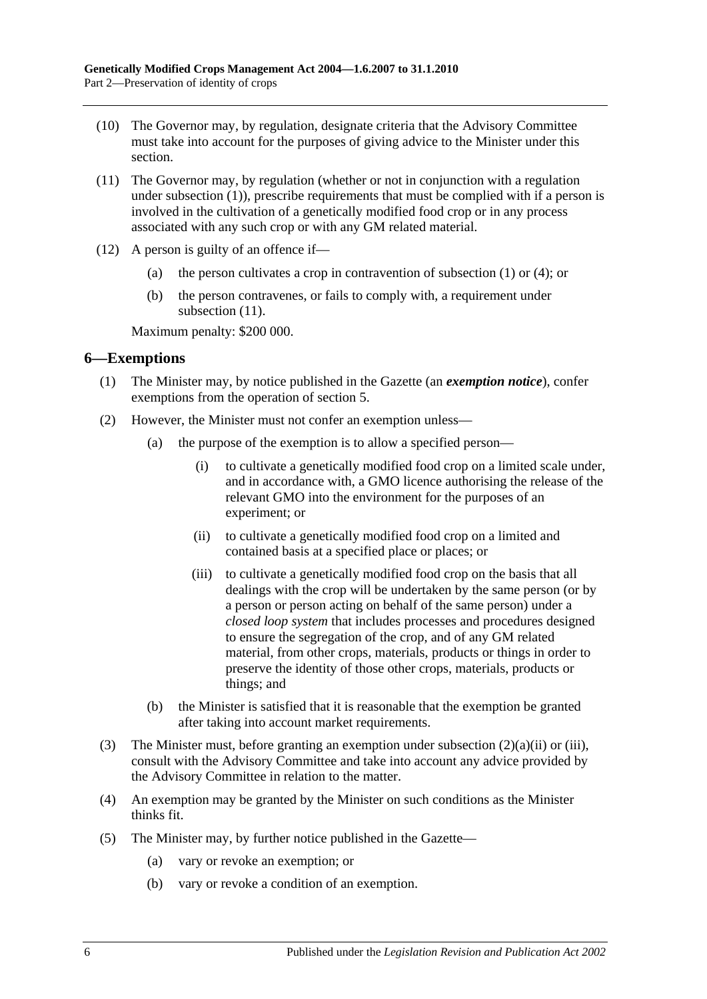- (10) The Governor may, by regulation, designate criteria that the Advisory Committee must take into account for the purposes of giving advice to the Minister under this section.
- <span id="page-5-1"></span>(11) The Governor may, by regulation (whether or not in conjunction with a regulation under [subsection](#page-3-4) (1)), prescribe requirements that must be complied with if a person is involved in the cultivation of a genetically modified food crop or in any process associated with any such crop or with any GM related material.
- (12) A person is guilty of an offence if—
	- (a) the person cultivates a crop in contravention of [subsection](#page-3-4) (1) or [\(4\);](#page-4-1) or
	- (b) the person contravenes, or fails to comply with, a requirement under [subsection](#page-5-1)  $(11)$ .

Maximum penalty: \$200 000.

#### <span id="page-5-0"></span>**6—Exemptions**

- (1) The Minister may, by notice published in the Gazette (an *exemption notice*), confer exemptions from the operation of [section](#page-3-2) 5.
- <span id="page-5-3"></span><span id="page-5-2"></span>(2) However, the Minister must not confer an exemption unless—
	- (a) the purpose of the exemption is to allow a specified person—
		- (i) to cultivate a genetically modified food crop on a limited scale under, and in accordance with, a GMO licence authorising the release of the relevant GMO into the environment for the purposes of an experiment; or
		- (ii) to cultivate a genetically modified food crop on a limited and contained basis at a specified place or places; or
		- (iii) to cultivate a genetically modified food crop on the basis that all dealings with the crop will be undertaken by the same person (or by a person or person acting on behalf of the same person) under a *closed loop system* that includes processes and procedures designed to ensure the segregation of the crop, and of any GM related material, from other crops, materials, products or things in order to preserve the identity of those other crops, materials, products or things; and
	- (b) the Minister is satisfied that it is reasonable that the exemption be granted after taking into account market requirements.
- (3) The Minister must, before granting an exemption under [subsection](#page-5-2) (2)(a)(ii) or [\(iii\),](#page-5-3) consult with the Advisory Committee and take into account any advice provided by the Advisory Committee in relation to the matter.
- (4) An exemption may be granted by the Minister on such conditions as the Minister thinks fit.
- (5) The Minister may, by further notice published in the Gazette—
	- (a) vary or revoke an exemption; or
	- (b) vary or revoke a condition of an exemption.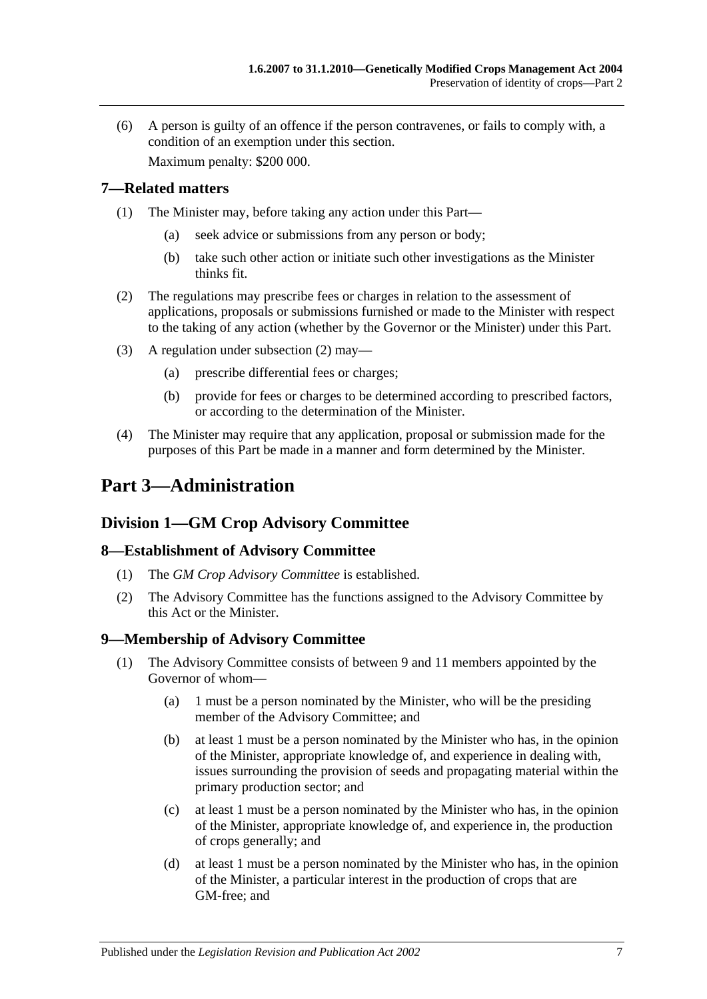(6) A person is guilty of an offence if the person contravenes, or fails to comply with, a condition of an exemption under this section. Maximum penalty: \$200 000.

<span id="page-6-0"></span>**7—Related matters**

- (1) The Minister may, before taking any action under this Part—
	- (a) seek advice or submissions from any person or body;
	- (b) take such other action or initiate such other investigations as the Minister thinks fit.
- <span id="page-6-5"></span>(2) The regulations may prescribe fees or charges in relation to the assessment of applications, proposals or submissions furnished or made to the Minister with respect to the taking of any action (whether by the Governor or the Minister) under this Part.
- (3) A regulation under [subsection](#page-6-5) (2) may—
	- (a) prescribe differential fees or charges;
	- (b) provide for fees or charges to be determined according to prescribed factors, or according to the determination of the Minister.
- (4) The Minister may require that any application, proposal or submission made for the purposes of this Part be made in a manner and form determined by the Minister.

# <span id="page-6-1"></span>**Part 3—Administration**

# <span id="page-6-2"></span>**Division 1—GM Crop Advisory Committee**

# <span id="page-6-3"></span>**8—Establishment of Advisory Committee**

- (1) The *GM Crop Advisory Committee* is established.
- (2) The Advisory Committee has the functions assigned to the Advisory Committee by this Act or the Minister.

# <span id="page-6-4"></span>**9—Membership of Advisory Committee**

- (1) The Advisory Committee consists of between 9 and 11 members appointed by the Governor of whom—
	- (a) 1 must be a person nominated by the Minister, who will be the presiding member of the Advisory Committee; and
	- (b) at least 1 must be a person nominated by the Minister who has, in the opinion of the Minister, appropriate knowledge of, and experience in dealing with, issues surrounding the provision of seeds and propagating material within the primary production sector; and
	- (c) at least 1 must be a person nominated by the Minister who has, in the opinion of the Minister, appropriate knowledge of, and experience in, the production of crops generally; and
	- (d) at least 1 must be a person nominated by the Minister who has, in the opinion of the Minister, a particular interest in the production of crops that are GM-free; and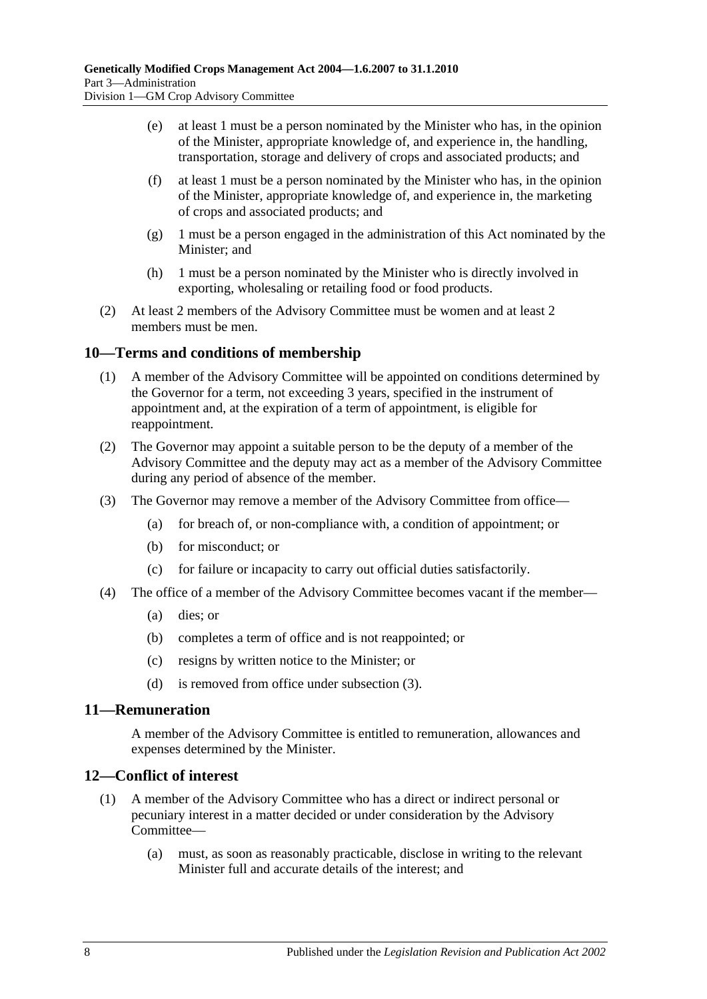- (e) at least 1 must be a person nominated by the Minister who has, in the opinion of the Minister, appropriate knowledge of, and experience in, the handling, transportation, storage and delivery of crops and associated products; and
- (f) at least 1 must be a person nominated by the Minister who has, in the opinion of the Minister, appropriate knowledge of, and experience in, the marketing of crops and associated products; and
- (g) 1 must be a person engaged in the administration of this Act nominated by the Minister; and
- (h) 1 must be a person nominated by the Minister who is directly involved in exporting, wholesaling or retailing food or food products.
- (2) At least 2 members of the Advisory Committee must be women and at least 2 members must be men.

# <span id="page-7-0"></span>**10—Terms and conditions of membership**

- (1) A member of the Advisory Committee will be appointed on conditions determined by the Governor for a term, not exceeding 3 years, specified in the instrument of appointment and, at the expiration of a term of appointment, is eligible for reappointment.
- (2) The Governor may appoint a suitable person to be the deputy of a member of the Advisory Committee and the deputy may act as a member of the Advisory Committee during any period of absence of the member.
- <span id="page-7-3"></span>(3) The Governor may remove a member of the Advisory Committee from office—
	- (a) for breach of, or non-compliance with, a condition of appointment; or
	- (b) for misconduct; or
	- (c) for failure or incapacity to carry out official duties satisfactorily.
- (4) The office of a member of the Advisory Committee becomes vacant if the member—
	- (a) dies; or
	- (b) completes a term of office and is not reappointed; or
	- (c) resigns by written notice to the Minister; or
	- (d) is removed from office under [subsection](#page-7-3) (3).

# <span id="page-7-1"></span>**11—Remuneration**

A member of the Advisory Committee is entitled to remuneration, allowances and expenses determined by the Minister.

# <span id="page-7-2"></span>**12—Conflict of interest**

- (1) A member of the Advisory Committee who has a direct or indirect personal or pecuniary interest in a matter decided or under consideration by the Advisory Committee—
	- (a) must, as soon as reasonably practicable, disclose in writing to the relevant Minister full and accurate details of the interest; and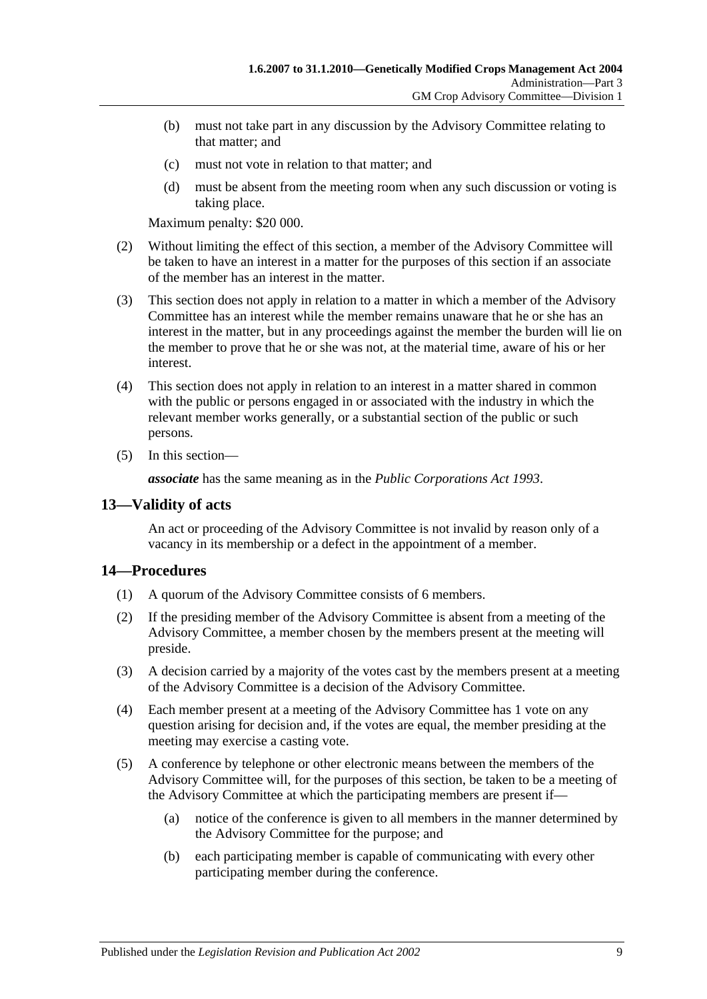- (b) must not take part in any discussion by the Advisory Committee relating to that matter; and
- (c) must not vote in relation to that matter; and
- (d) must be absent from the meeting room when any such discussion or voting is taking place.

Maximum penalty: \$20 000.

- (2) Without limiting the effect of this section, a member of the Advisory Committee will be taken to have an interest in a matter for the purposes of this section if an associate of the member has an interest in the matter.
- (3) This section does not apply in relation to a matter in which a member of the Advisory Committee has an interest while the member remains unaware that he or she has an interest in the matter, but in any proceedings against the member the burden will lie on the member to prove that he or she was not, at the material time, aware of his or her interest.
- (4) This section does not apply in relation to an interest in a matter shared in common with the public or persons engaged in or associated with the industry in which the relevant member works generally, or a substantial section of the public or such persons.
- (5) In this section—

*associate* has the same meaning as in the *[Public Corporations Act](http://www.legislation.sa.gov.au/index.aspx?action=legref&type=act&legtitle=Public%20Corporations%20Act%201993) 1993*.

# <span id="page-8-0"></span>**13—Validity of acts**

An act or proceeding of the Advisory Committee is not invalid by reason only of a vacancy in its membership or a defect in the appointment of a member.

# <span id="page-8-1"></span>**14—Procedures**

- (1) A quorum of the Advisory Committee consists of 6 members.
- (2) If the presiding member of the Advisory Committee is absent from a meeting of the Advisory Committee, a member chosen by the members present at the meeting will preside.
- (3) A decision carried by a majority of the votes cast by the members present at a meeting of the Advisory Committee is a decision of the Advisory Committee.
- (4) Each member present at a meeting of the Advisory Committee has 1 vote on any question arising for decision and, if the votes are equal, the member presiding at the meeting may exercise a casting vote.
- (5) A conference by telephone or other electronic means between the members of the Advisory Committee will, for the purposes of this section, be taken to be a meeting of the Advisory Committee at which the participating members are present if—
	- (a) notice of the conference is given to all members in the manner determined by the Advisory Committee for the purpose; and
	- (b) each participating member is capable of communicating with every other participating member during the conference.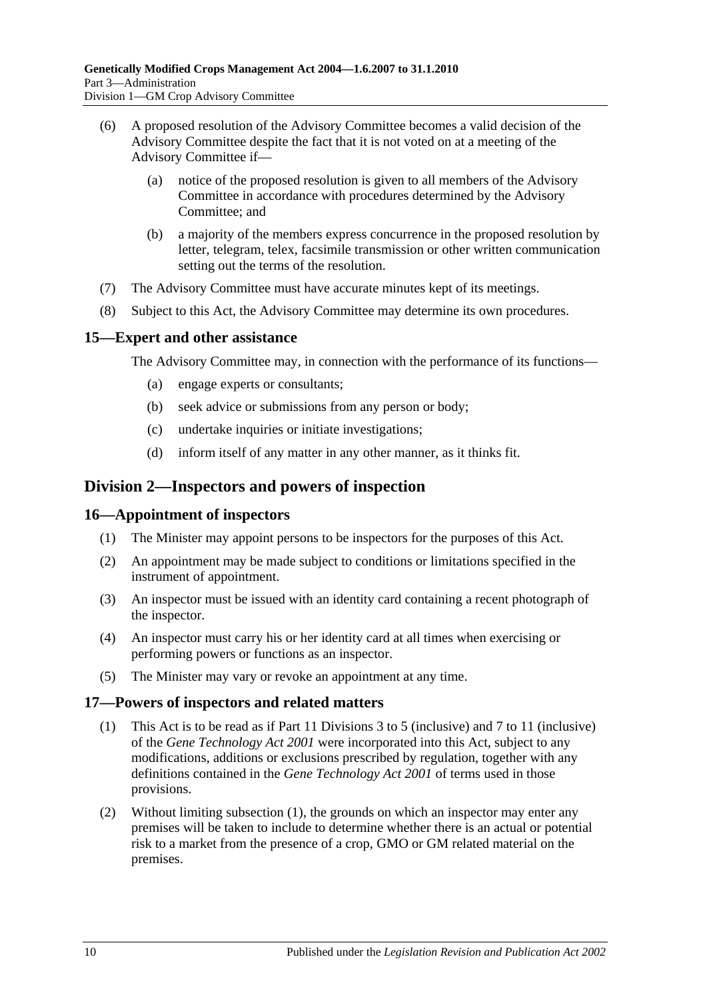- (6) A proposed resolution of the Advisory Committee becomes a valid decision of the Advisory Committee despite the fact that it is not voted on at a meeting of the Advisory Committee if—
	- (a) notice of the proposed resolution is given to all members of the Advisory Committee in accordance with procedures determined by the Advisory Committee; and
	- (b) a majority of the members express concurrence in the proposed resolution by letter, telegram, telex, facsimile transmission or other written communication setting out the terms of the resolution.
- (7) The Advisory Committee must have accurate minutes kept of its meetings.
- (8) Subject to this Act, the Advisory Committee may determine its own procedures.

#### <span id="page-9-0"></span>**15—Expert and other assistance**

The Advisory Committee may, in connection with the performance of its functions—

- (a) engage experts or consultants;
- (b) seek advice or submissions from any person or body;
- (c) undertake inquiries or initiate investigations;
- (d) inform itself of any matter in any other manner, as it thinks fit.

# <span id="page-9-1"></span>**Division 2—Inspectors and powers of inspection**

#### <span id="page-9-2"></span>**16—Appointment of inspectors**

- (1) The Minister may appoint persons to be inspectors for the purposes of this Act.
- (2) An appointment may be made subject to conditions or limitations specified in the instrument of appointment.
- (3) An inspector must be issued with an identity card containing a recent photograph of the inspector.
- (4) An inspector must carry his or her identity card at all times when exercising or performing powers or functions as an inspector.
- (5) The Minister may vary or revoke an appointment at any time.

#### <span id="page-9-4"></span><span id="page-9-3"></span>**17—Powers of inspectors and related matters**

- (1) This Act is to be read as if Part 11 Divisions 3 to 5 (inclusive) and 7 to 11 (inclusive) of the *[Gene Technology Act](http://www.legislation.sa.gov.au/index.aspx?action=legref&type=act&legtitle=Gene%20Technology%20Act%202001) 2001* were incorporated into this Act, subject to any modifications, additions or exclusions prescribed by regulation, together with any definitions contained in the *[Gene Technology Act](http://www.legislation.sa.gov.au/index.aspx?action=legref&type=act&legtitle=Gene%20Technology%20Act%202001) 2001* of terms used in those provisions.
- (2) Without limiting [subsection](#page-9-4) (1), the grounds on which an inspector may enter any premises will be taken to include to determine whether there is an actual or potential risk to a market from the presence of a crop, GMO or GM related material on the premises.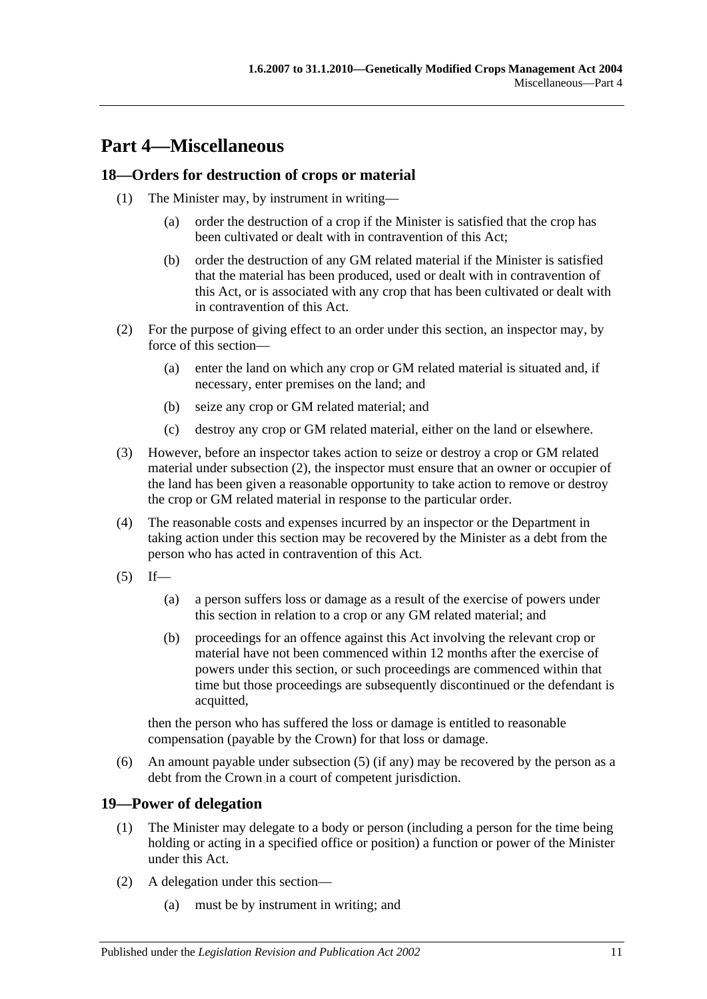# <span id="page-10-0"></span>**Part 4—Miscellaneous**

# <span id="page-10-1"></span>**18—Orders for destruction of crops or material**

- (1) The Minister may, by instrument in writing—
	- (a) order the destruction of a crop if the Minister is satisfied that the crop has been cultivated or dealt with in contravention of this Act;
	- (b) order the destruction of any GM related material if the Minister is satisfied that the material has been produced, used or dealt with in contravention of this Act, or is associated with any crop that has been cultivated or dealt with in contravention of this Act.
- <span id="page-10-3"></span>(2) For the purpose of giving effect to an order under this section, an inspector may, by force of this section—
	- (a) enter the land on which any crop or GM related material is situated and, if necessary, enter premises on the land; and
	- (b) seize any crop or GM related material; and
	- (c) destroy any crop or GM related material, either on the land or elsewhere.
- (3) However, before an inspector takes action to seize or destroy a crop or GM related material under [subsection](#page-10-3) (2), the inspector must ensure that an owner or occupier of the land has been given a reasonable opportunity to take action to remove or destroy the crop or GM related material in response to the particular order.
- (4) The reasonable costs and expenses incurred by an inspector or the Department in taking action under this section may be recovered by the Minister as a debt from the person who has acted in contravention of this Act.
- <span id="page-10-4"></span> $(5)$  If—
	- (a) a person suffers loss or damage as a result of the exercise of powers under this section in relation to a crop or any GM related material; and
	- (b) proceedings for an offence against this Act involving the relevant crop or material have not been commenced within 12 months after the exercise of powers under this section, or such proceedings are commenced within that time but those proceedings are subsequently discontinued or the defendant is acquitted,

then the person who has suffered the loss or damage is entitled to reasonable compensation (payable by the Crown) for that loss or damage.

(6) An amount payable under [subsection](#page-10-4) (5) (if any) may be recovered by the person as a debt from the Crown in a court of competent jurisdiction.

# <span id="page-10-2"></span>**19—Power of delegation**

- (1) The Minister may delegate to a body or person (including a person for the time being holding or acting in a specified office or position) a function or power of the Minister under this Act.
- (2) A delegation under this section—
	- (a) must be by instrument in writing; and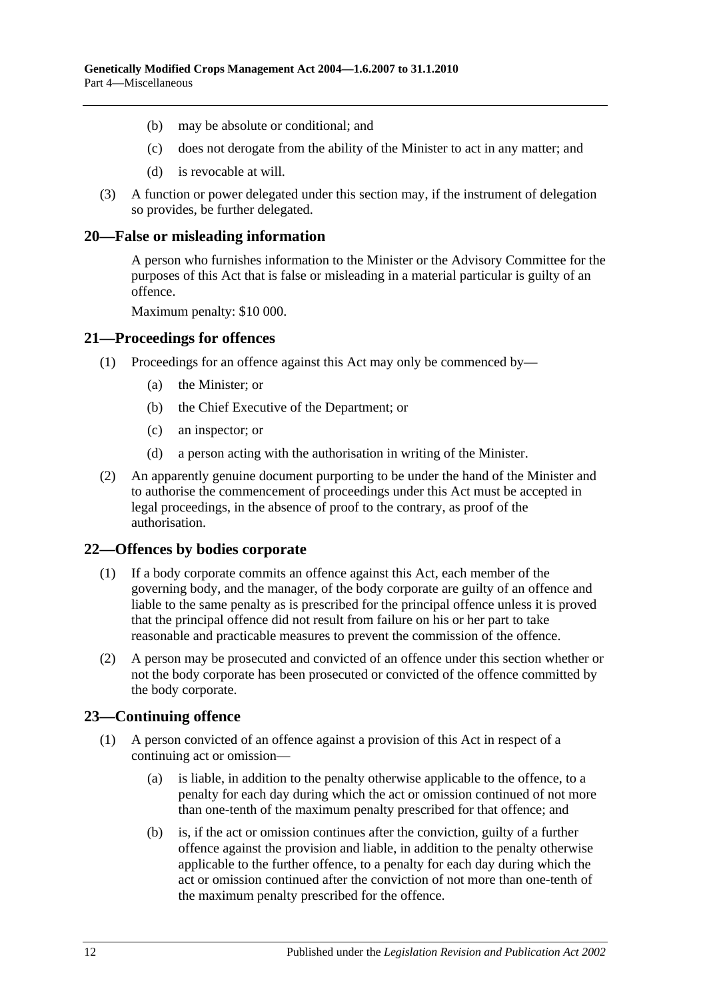- (b) may be absolute or conditional; and
- (c) does not derogate from the ability of the Minister to act in any matter; and
- (d) is revocable at will.
- (3) A function or power delegated under this section may, if the instrument of delegation so provides, be further delegated.

#### <span id="page-11-0"></span>**20—False or misleading information**

A person who furnishes information to the Minister or the Advisory Committee for the purposes of this Act that is false or misleading in a material particular is guilty of an offence.

Maximum penalty: \$10 000.

#### <span id="page-11-1"></span>**21—Proceedings for offences**

- (1) Proceedings for an offence against this Act may only be commenced by—
	- (a) the Minister; or
	- (b) the Chief Executive of the Department; or
	- (c) an inspector; or
	- (d) a person acting with the authorisation in writing of the Minister.
- (2) An apparently genuine document purporting to be under the hand of the Minister and to authorise the commencement of proceedings under this Act must be accepted in legal proceedings, in the absence of proof to the contrary, as proof of the authorisation.

#### <span id="page-11-2"></span>**22—Offences by bodies corporate**

- (1) If a body corporate commits an offence against this Act, each member of the governing body, and the manager, of the body corporate are guilty of an offence and liable to the same penalty as is prescribed for the principal offence unless it is proved that the principal offence did not result from failure on his or her part to take reasonable and practicable measures to prevent the commission of the offence.
- (2) A person may be prosecuted and convicted of an offence under this section whether or not the body corporate has been prosecuted or convicted of the offence committed by the body corporate.

# <span id="page-11-3"></span>**23—Continuing offence**

- (1) A person convicted of an offence against a provision of this Act in respect of a continuing act or omission—
	- (a) is liable, in addition to the penalty otherwise applicable to the offence, to a penalty for each day during which the act or omission continued of not more than one-tenth of the maximum penalty prescribed for that offence; and
	- (b) is, if the act or omission continues after the conviction, guilty of a further offence against the provision and liable, in addition to the penalty otherwise applicable to the further offence, to a penalty for each day during which the act or omission continued after the conviction of not more than one-tenth of the maximum penalty prescribed for the offence.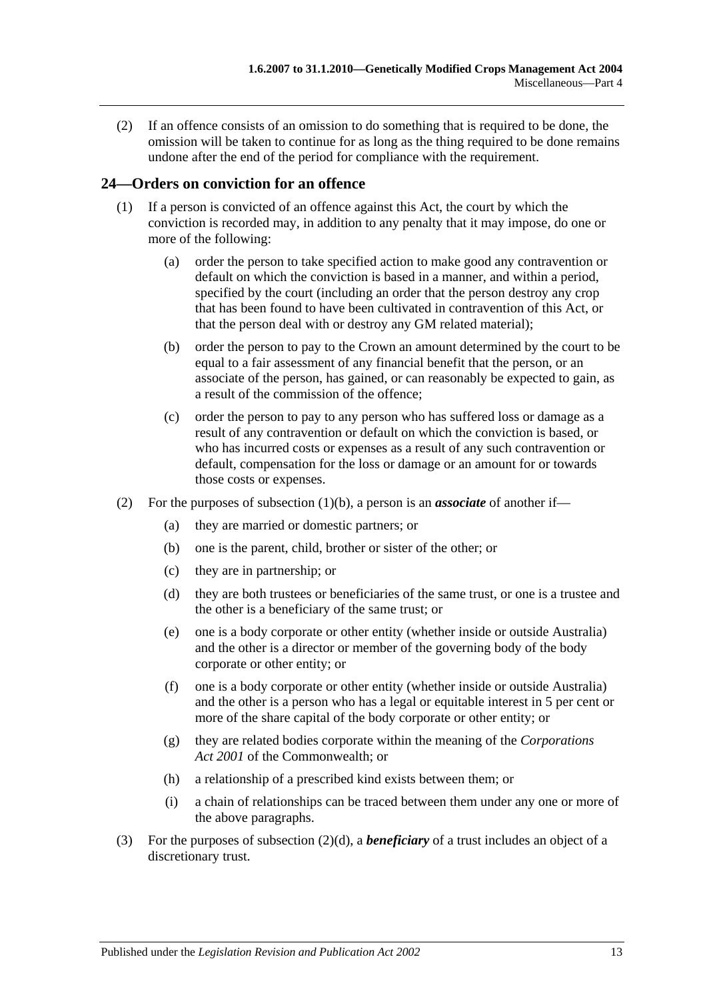(2) If an offence consists of an omission to do something that is required to be done, the omission will be taken to continue for as long as the thing required to be done remains undone after the end of the period for compliance with the requirement.

# <span id="page-12-0"></span>**24—Orders on conviction for an offence**

- <span id="page-12-1"></span>(1) If a person is convicted of an offence against this Act, the court by which the conviction is recorded may, in addition to any penalty that it may impose, do one or more of the following:
	- (a) order the person to take specified action to make good any contravention or default on which the conviction is based in a manner, and within a period, specified by the court (including an order that the person destroy any crop that has been found to have been cultivated in contravention of this Act, or that the person deal with or destroy any GM related material);
	- (b) order the person to pay to the Crown an amount determined by the court to be equal to a fair assessment of any financial benefit that the person, or an associate of the person, has gained, or can reasonably be expected to gain, as a result of the commission of the offence;
	- (c) order the person to pay to any person who has suffered loss or damage as a result of any contravention or default on which the conviction is based, or who has incurred costs or expenses as a result of any such contravention or default, compensation for the loss or damage or an amount for or towards those costs or expenses.
- <span id="page-12-2"></span>(2) For the purposes of [subsection](#page-12-1) (1)(b), a person is an *associate* of another if—
	- (a) they are married or domestic partners; or
	- (b) one is the parent, child, brother or sister of the other; or
	- (c) they are in partnership; or
	- (d) they are both trustees or beneficiaries of the same trust, or one is a trustee and the other is a beneficiary of the same trust; or
	- (e) one is a body corporate or other entity (whether inside or outside Australia) and the other is a director or member of the governing body of the body corporate or other entity; or
	- (f) one is a body corporate or other entity (whether inside or outside Australia) and the other is a person who has a legal or equitable interest in 5 per cent or more of the share capital of the body corporate or other entity; or
	- (g) they are related bodies corporate within the meaning of the *Corporations Act 2001* of the Commonwealth; or
	- (h) a relationship of a prescribed kind exists between them; or
	- (i) a chain of relationships can be traced between them under any one or more of the above paragraphs.
- (3) For the purposes of [subsection](#page-12-2) (2)(d), a *beneficiary* of a trust includes an object of a discretionary trust.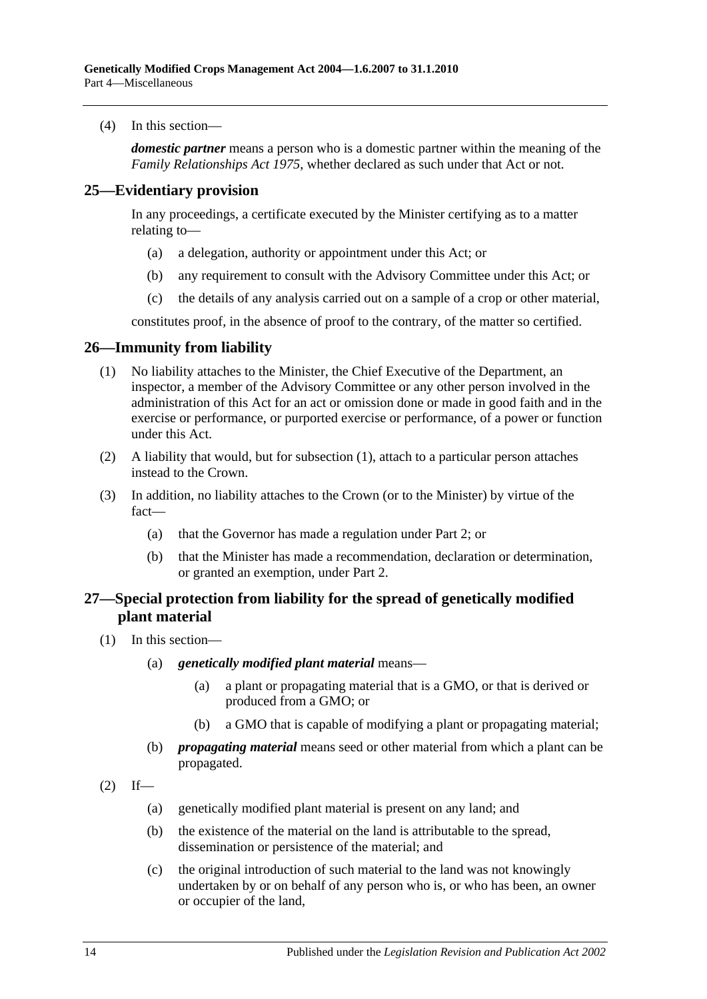(4) In this section—

*domestic partner* means a person who is a domestic partner within the meaning of the *[Family Relationships Act](http://www.legislation.sa.gov.au/index.aspx?action=legref&type=act&legtitle=Family%20Relationships%20Act%201975) 1975*, whether declared as such under that Act or not.

#### <span id="page-13-0"></span>**25—Evidentiary provision**

In any proceedings, a certificate executed by the Minister certifying as to a matter relating to—

- (a) a delegation, authority or appointment under this Act; or
- (b) any requirement to consult with the Advisory Committee under this Act; or
- (c) the details of any analysis carried out on a sample of a crop or other material,

constitutes proof, in the absence of proof to the contrary, of the matter so certified.

#### <span id="page-13-3"></span><span id="page-13-1"></span>**26—Immunity from liability**

- (1) No liability attaches to the Minister, the Chief Executive of the Department, an inspector, a member of the Advisory Committee or any other person involved in the administration of this Act for an act or omission done or made in good faith and in the exercise or performance, or purported exercise or performance, of a power or function under this Act.
- (2) A liability that would, but for [subsection](#page-13-3) (1), attach to a particular person attaches instead to the Crown.
- (3) In addition, no liability attaches to the Crown (or to the Minister) by virtue of the fact—
	- (a) that the Governor has made a regulation under [Part 2;](#page-3-1) or
	- (b) that the Minister has made a recommendation, declaration or determination, or granted an exemption, under [Part 2.](#page-3-1)

# <span id="page-13-2"></span>**27—Special protection from liability for the spread of genetically modified plant material**

- (1) In this section—
	- (a) *genetically modified plant material* means—
		- (a) a plant or propagating material that is a GMO, or that is derived or produced from a GMO; or
		- (b) a GMO that is capable of modifying a plant or propagating material;
	- (b) *propagating material* means seed or other material from which a plant can be propagated.
- <span id="page-13-4"></span> $(2)$  If—
	- (a) genetically modified plant material is present on any land; and
	- (b) the existence of the material on the land is attributable to the spread, dissemination or persistence of the material; and
	- (c) the original introduction of such material to the land was not knowingly undertaken by or on behalf of any person who is, or who has been, an owner or occupier of the land,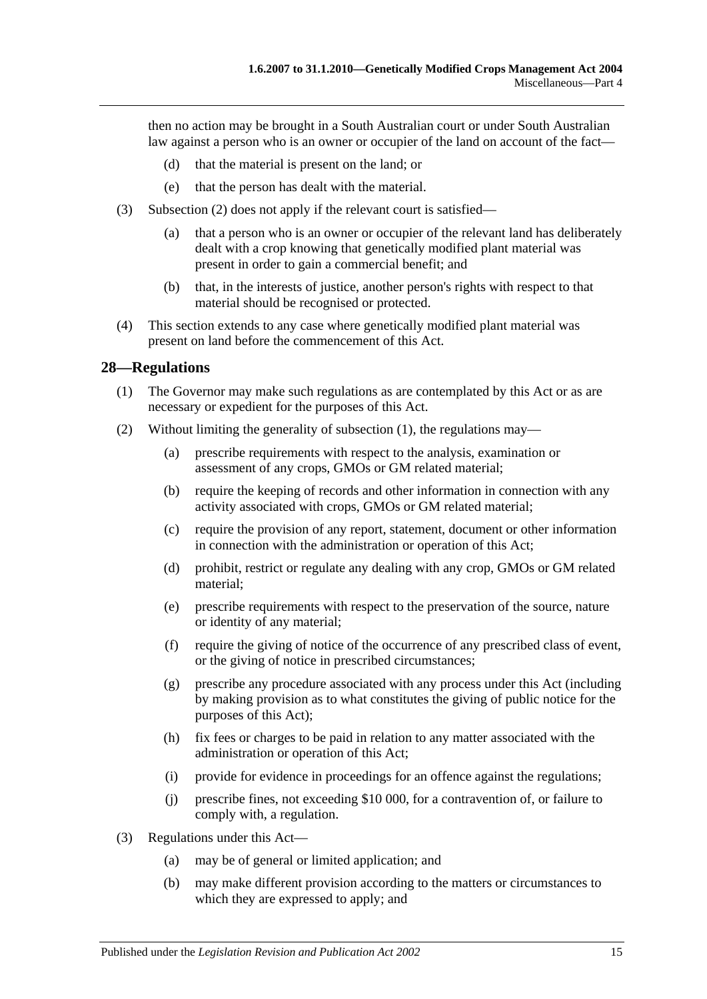then no action may be brought in a South Australian court or under South Australian law against a person who is an owner or occupier of the land on account of the fact—

- (d) that the material is present on the land; or
- (e) that the person has dealt with the material.
- (3) [Subsection](#page-13-4) (2) does not apply if the relevant court is satisfied—
	- (a) that a person who is an owner or occupier of the relevant land has deliberately dealt with a crop knowing that genetically modified plant material was present in order to gain a commercial benefit; and
	- (b) that, in the interests of justice, another person's rights with respect to that material should be recognised or protected.
- (4) This section extends to any case where genetically modified plant material was present on land before the commencement of this Act.

#### <span id="page-14-1"></span><span id="page-14-0"></span>**28—Regulations**

- (1) The Governor may make such regulations as are contemplated by this Act or as are necessary or expedient for the purposes of this Act.
- (2) Without limiting the generality of [subsection](#page-14-1) (1), the regulations may—
	- (a) prescribe requirements with respect to the analysis, examination or assessment of any crops, GMOs or GM related material;
	- (b) require the keeping of records and other information in connection with any activity associated with crops, GMOs or GM related material;
	- (c) require the provision of any report, statement, document or other information in connection with the administration or operation of this Act;
	- (d) prohibit, restrict or regulate any dealing with any crop, GMOs or GM related material;
	- (e) prescribe requirements with respect to the preservation of the source, nature or identity of any material;
	- (f) require the giving of notice of the occurrence of any prescribed class of event, or the giving of notice in prescribed circumstances;
	- (g) prescribe any procedure associated with any process under this Act (including by making provision as to what constitutes the giving of public notice for the purposes of this Act);
	- (h) fix fees or charges to be paid in relation to any matter associated with the administration or operation of this Act;
	- (i) provide for evidence in proceedings for an offence against the regulations;
	- (j) prescribe fines, not exceeding \$10 000, for a contravention of, or failure to comply with, a regulation.
- (3) Regulations under this Act—
	- (a) may be of general or limited application; and
	- (b) may make different provision according to the matters or circumstances to which they are expressed to apply; and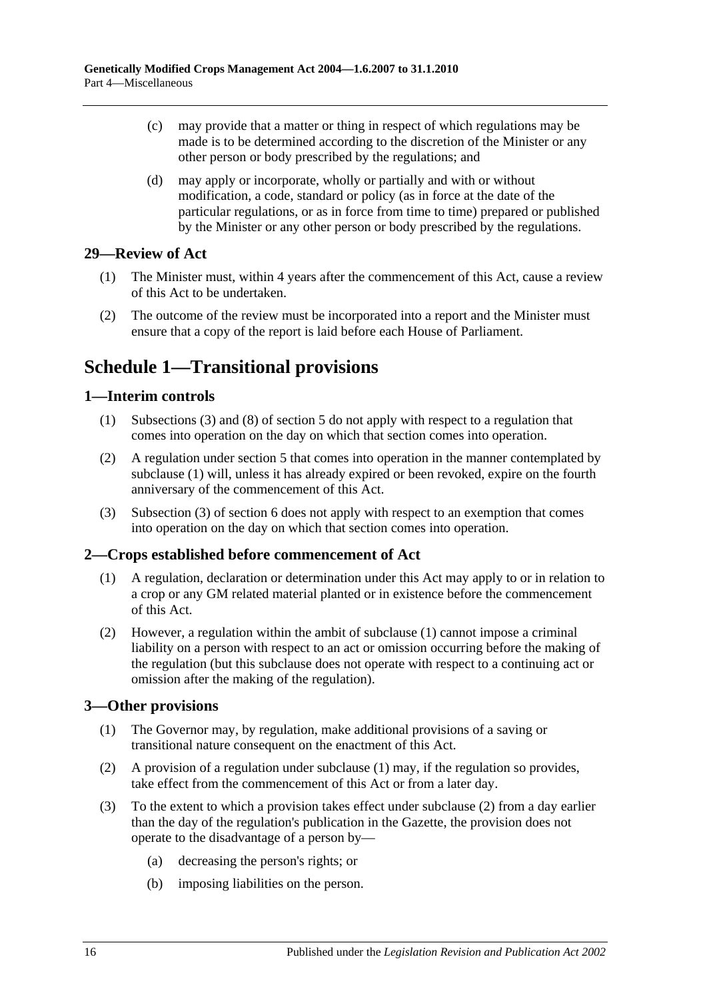- (c) may provide that a matter or thing in respect of which regulations may be made is to be determined according to the discretion of the Minister or any other person or body prescribed by the regulations; and
- (d) may apply or incorporate, wholly or partially and with or without modification, a code, standard or policy (as in force at the date of the particular regulations, or as in force from time to time) prepared or published by the Minister or any other person or body prescribed by the regulations.

# <span id="page-15-0"></span>**29—Review of Act**

- (1) The Minister must, within 4 years after the commencement of this Act, cause a review of this Act to be undertaken.
- (2) The outcome of the review must be incorporated into a report and the Minister must ensure that a copy of the report is laid before each House of Parliament.

# <span id="page-15-1"></span>**Schedule 1—Transitional provisions**

# <span id="page-15-5"></span><span id="page-15-2"></span>**1—Interim controls**

- (1) [Subsections](#page-3-8) (3) and (8) of [section](#page-3-2) 5 do not apply with respect to a regulation that comes into operation on the day on which that section comes into operation.
- (2) A regulation under [section](#page-3-2) 5 that comes into operation in the manner contemplated by [subclause](#page-15-5) (1) will, unless it has already expired or been revoked, expire on the fourth anniversary of the commencement of this Act.
- (3) Subsection (3) of section 6 does not apply with respect to an exemption that comes into operation on the day on which that section comes into operation.

# <span id="page-15-6"></span><span id="page-15-3"></span>**2—Crops established before commencement of Act**

- (1) A regulation, declaration or determination under this Act may apply to or in relation to a crop or any GM related material planted or in existence before the commencement of this Act.
- (2) However, a regulation within the ambit of [subclause](#page-15-6) (1) cannot impose a criminal liability on a person with respect to an act or omission occurring before the making of the regulation (but this subclause does not operate with respect to a continuing act or omission after the making of the regulation).

# <span id="page-15-7"></span><span id="page-15-4"></span>**3—Other provisions**

- (1) The Governor may, by regulation, make additional provisions of a saving or transitional nature consequent on the enactment of this Act.
- <span id="page-15-8"></span>(2) A provision of a regulation under [subclause](#page-15-7) (1) may, if the regulation so provides, take effect from the commencement of this Act or from a later day.
- (3) To the extent to which a provision takes effect under [subclause](#page-15-8) (2) from a day earlier than the day of the regulation's publication in the Gazette, the provision does not operate to the disadvantage of a person by—
	- (a) decreasing the person's rights; or
	- (b) imposing liabilities on the person.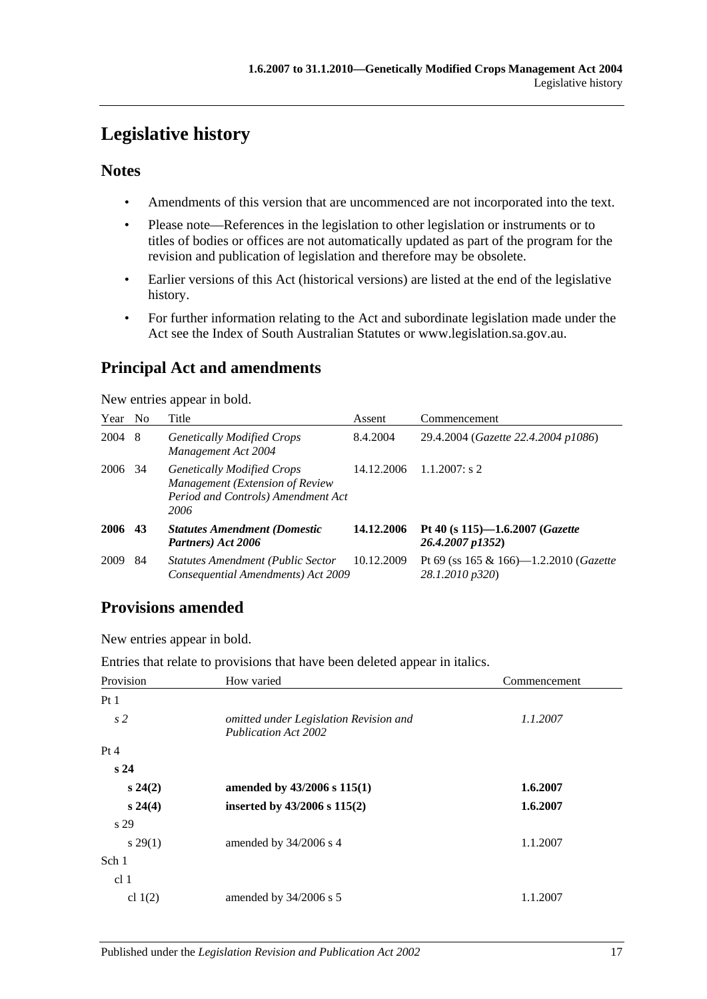# <span id="page-16-0"></span>**Legislative history**

# **Notes**

- Amendments of this version that are uncommenced are not incorporated into the text.
- Please note—References in the legislation to other legislation or instruments or to titles of bodies or offices are not automatically updated as part of the program for the revision and publication of legislation and therefore may be obsolete.
- Earlier versions of this Act (historical versions) are listed at the end of the legislative history.
- For further information relating to the Act and subordinate legislation made under the Act see the Index of South Australian Statutes or www.legislation.sa.gov.au.

# **Principal Act and amendments**

New entries appear in bold.

| Year | N <sub>o</sub> | Title                                                                                                              | Assent     | Commencement                                                   |
|------|----------------|--------------------------------------------------------------------------------------------------------------------|------------|----------------------------------------------------------------|
| 2004 | -8             | <b>Genetically Modified Crops</b><br>Management Act 2004                                                           | 8.4.2004   | 29.4.2004 (Gazette 22.4.2004 p1086)                            |
| 2006 | 34             | <b>Genetically Modified Crops</b><br>Management (Extension of Review<br>Period and Controls) Amendment Act<br>2006 | 14.12.2006 | $1.1.2007$ : s 2                                               |
| 2006 | 43             | <b>Statutes Amendment (Domestic</b><br>Partners) Act 2006                                                          | 14.12.2006 | Pt 40 (s $115$ )-1.6.2007 ( <i>Gazette</i><br>26.4.2007 p1352) |
| 2009 | 84             | <b>Statutes Amendment (Public Sector</b><br>Consequential Amendments) Act 2009                                     | 10.12.2009 | Pt 69 (ss 165 & 166)—1.2.2010 (Gazette<br>28.1.2010 p320)      |

# **Provisions amended**

New entries appear in bold.

Entries that relate to provisions that have been deleted appear in italics.

| Provision       | How varied                                                            | Commencement |
|-----------------|-----------------------------------------------------------------------|--------------|
| Pt1             |                                                                       |              |
| s <sub>2</sub>  | omitted under Legislation Revision and<br><b>Publication Act 2002</b> | 1.1.2007     |
| Pt 4            |                                                                       |              |
| s24             |                                                                       |              |
| $s\,24(2)$      | amended by 43/2006 s 115(1)                                           | 1.6.2007     |
| $s\,24(4)$      | inserted by $43/2006$ s $115(2)$                                      | 1.6.2007     |
| s 29            |                                                                       |              |
| $s\,29(1)$      | amended by $34/2006$ s 4                                              | 1.1.2007     |
| Sch 1           |                                                                       |              |
| cl <sub>1</sub> |                                                                       |              |
| cl $1(2)$       | amended by 34/2006 s 5                                                | 1.1.2007     |